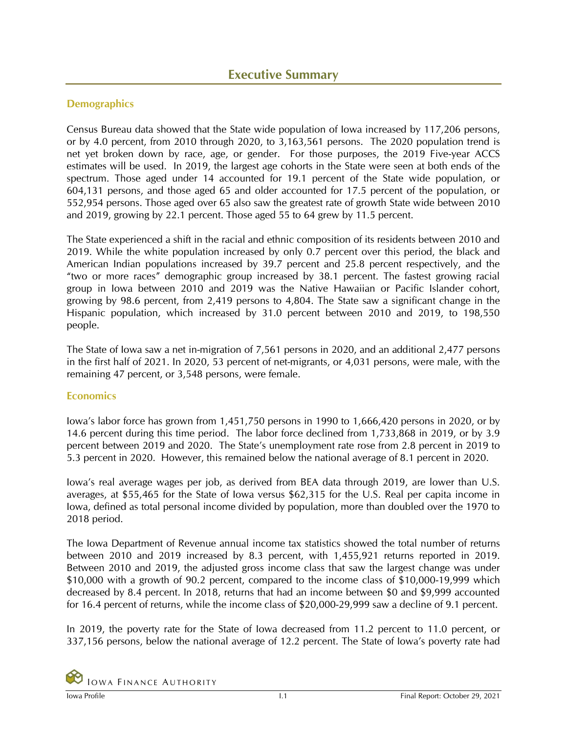## **Demographics**

Census Bureau data showed that the State wide population of Iowa increased by 117,206 persons, or by 4.0 percent, from 2010 through 2020, to 3,163,561 persons. The 2020 population trend is net yet broken down by race, age, or gender. For those purposes, the 2019 Five-year ACCS estimates will be used. In 2019, the largest age cohorts in the State were seen at both ends of the spectrum. Those aged under 14 accounted for 19.1 percent of the State wide population, or 604,131 persons, and those aged 65 and older accounted for 17.5 percent of the population, or 552,954 persons. Those aged over 65 also saw the greatest rate of growth State wide between 2010 and 2019, growing by 22.1 percent. Those aged 55 to 64 grew by 11.5 percent.

The State experienced a shift in the racial and ethnic composition of its residents between 2010 and 2019. While the white population increased by only 0.7 percent over this period, the black and American Indian populations increased by 39.7 percent and 25.8 percent respectively, and the "two or more races" demographic group increased by 38.1 percent. The fastest growing racial group in Iowa between 2010 and 2019 was the Native Hawaiian or Pacific Islander cohort, growing by 98.6 percent, from 2,419 persons to 4,804. The State saw a significant change in the Hispanic population, which increased by 31.0 percent between 2010 and 2019, to 198,550 people.

The State of Iowa saw a net in-migration of 7,561 persons in 2020, and an additional 2,477 persons in the first half of 2021. In 2020, 53 percent of net-migrants, or 4,031 persons, were male, with the remaining 47 percent, or 3,548 persons, were female.

## **Economics**

Iowa's labor force has grown from 1,451,750 persons in 1990 to 1,666,420 persons in 2020, or by 14.6 percent during this time period. The labor force declined from 1,733,868 in 2019, or by 3.9 percent between 2019 and 2020. The State's unemployment rate rose from 2.8 percent in 2019 to 5.3 percent in 2020. However, this remained below the national average of 8.1 percent in 2020.

Iowa's real average wages per job, as derived from BEA data through 2019, are lower than U.S. averages, at \$55,465 for the State of Iowa versus \$62,315 for the U.S. Real per capita income in Iowa, defined as total personal income divided by population, more than doubled over the 1970 to 2018 period.

The Iowa Department of Revenue annual income tax statistics showed the total number of returns between 2010 and 2019 increased by 8.3 percent, with 1,455,921 returns reported in 2019. Between 2010 and 2019, the adjusted gross income class that saw the largest change was under \$10,000 with a growth of 90.2 percent, compared to the income class of \$10,000-19,999 which decreased by 8.4 percent. In 2018, returns that had an income between \$0 and \$9,999 accounted for 16.4 percent of returns, while the income class of \$20,000-29,999 saw a decline of 9.1 percent.

In 2019, the poverty rate for the State of Iowa decreased from 11.2 percent to 11.0 percent, or 337,156 persons, below the national average of 12.2 percent. The State of Iowa's poverty rate had

**IOWA FINANCE AUTHORITY**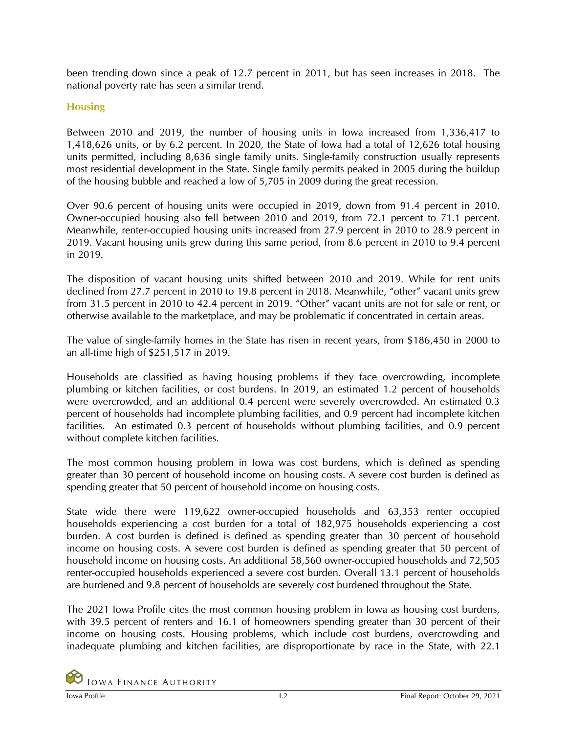been trending down since a peak of 12.7 percent in 2011, but has seen increases in 2018. The national poverty rate has seen a similar trend.

## **Housing**

Between 2010 and 2019, the number of housing units in Iowa increased from 1,336,417 to 1,418,626 units, or by 6.2 percent. In 2020, the State of Iowa had a total of 12,626 total housing units permitted, including 8,636 single family units. Single-family construction usually represents most residential development in the State. Single family permits peaked in 2005 during the buildup of the housing bubble and reached a low of 5,705 in 2009 during the great recession.

Over 90.6 percent of housing units were occupied in 2019, down from 91.4 percent in 2010. Owner-occupied housing also fell between 2010 and 2019, from 72.1 percent to 71.1 percent. Meanwhile, renter-occupied housing units increased from 27.9 percent in 2010 to 28.9 percent in 2019. Vacant housing units grew during this same period, from 8.6 percent in 2010 to 9.4 percent in 2019.

The disposition of vacant housing units shifted between 2010 and 2019. While for rent units declined from 27.7 percent in 2010 to 19.8 percent in 2018. Meanwhile, "other" vacant units grew from 31.5 percent in 2010 to 42.4 percent in 2019. "Other" vacant units are not for sale or rent, or otherwise available to the marketplace, and may be problematic if concentrated in certain areas.

The value of single-family homes in the State has risen in recent years, from \$186,450 in 2000 to an all-time high of \$251,517 in 2019.

Households are classified as having housing problems if they face overcrowding, incomplete plumbing or kitchen facilities, or cost burdens. In 2019, an estimated 1.2 percent of households were overcrowded, and an additional 0.4 percent were severely overcrowded. An estimated 0.3 percent of households had incomplete plumbing facilities, and 0.9 percent had incomplete kitchen facilities. An estimated 0.3 percent of households without plumbing facilities, and 0.9 percent without complete kitchen facilities.

The most common housing problem in Iowa was cost burdens, which is defined as spending greater than 30 percent of household income on housing costs. A severe cost burden is defined as spending greater that 50 percent of household income on housing costs.

State wide there were 119,622 owner-occupied households and 63,353 renter occupied households experiencing a cost burden for a total of 182,975 households experiencing a cost burden. A cost burden is defined is defined as spending greater than 30 percent of household income on housing costs. A severe cost burden is defined as spending greater that 50 percent of household income on housing costs. An additional 58,560 owner-occupied households and 72,505 renter-occupied households experienced a severe cost burden. Overall 13.1 percent of households are burdened and 9.8 percent of households are severely cost burdened throughout the State.

The 2021 Iowa Profile cites the most common housing problem in Iowa as housing cost burdens, with 39.5 percent of renters and 16.1 of homeowners spending greater than 30 percent of their income on housing costs. Housing problems, which include cost burdens, overcrowding and inadequate plumbing and kitchen facilities, are disproportionate by race in the State, with 22.1

**IOWA FINANCE AUTHORITY**